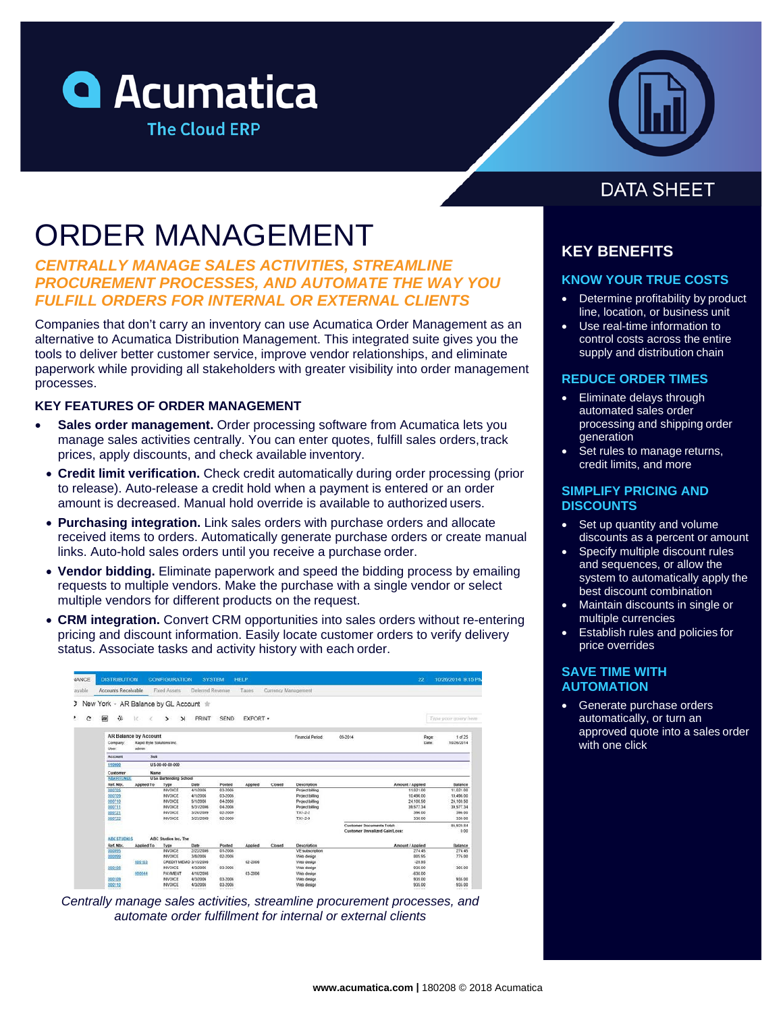# **Q** Acumatica **The Cloud ERP**



# ORDER MANAGEMENT

# *CENTRALLY MANAGE SALES ACTIVITIES, STREAMLINE PROCUREMENT PROCESSES, AND AUTOMATE THE WAY YOU FULFILL ORDERS FOR INTERNAL OR EXTERNAL CLIENTS*

Companies that don't carry an inventory can use Acumatica Order Management as an alternative to Acumatica Distribution Management. This integrated suite gives you the tools to deliver better customer service, improve vendor relationships, and eliminate paperwork while providing all stakeholders with greater visibility into order management processes.

### **KEY FEATURES OF ORDER MANAGEMENT**

- **Sales order management.** Order processing software from Acumatica lets you manage sales activities centrally. You can enter quotes, fulfill sales orders,track prices, apply discounts, and check available inventory.
- **Credit limit verification.** Check credit automatically during order processing (prior to release). Auto-release a credit hold when a payment is entered or an order amount is decreased. Manual hold override is available to authorized users.
- **Purchasing integration.** Link sales orders with purchase orders and allocate received items to orders. Automatically generate purchase orders or create manual links. Auto-hold sales orders until you receive a purchase order.
- **Vendor bidding.** Eliminate paperwork and speed the bidding process by emailing requests to multiple vendors. Make the purchase with a single vendor or select multiple vendors for different products on the request.
- **CRM integration.** Convert CRM opportunities into sales orders without re-entering pricing and discount information. Easily locate customer orders to verify delivery status. Associate tasks and activity history with each order.

| <b>JANCE</b> | <b>DISTRIBUTION</b>                                                                     |                                                                    | <b>CONFIGURATION</b>    |           | <b>SYSTEM</b> | HELP     |        |                   |                                                                    | 22                   | 10/26/2014 9:15 PM        |
|--------------|-----------------------------------------------------------------------------------------|--------------------------------------------------------------------|-------------------------|-----------|---------------|----------|--------|-------------------|--------------------------------------------------------------------|----------------------|---------------------------|
| ayable       | Accounts Receivable<br>Flood Assets<br>Deferred Revenue<br>Taxes<br>Currency Management |                                                                    |                         |           |               |          |        |                   |                                                                    |                      |                           |
|              | 3 New York - AR Balance by GL Account +                                                 |                                                                    |                         |           |               |          |        |                   |                                                                    |                      |                           |
| ۴.<br>c      | 间<br>強                                                                                  | 16<br>×                                                            | $\geq$<br>$\rightarrow$ | PRINT     | <b>SEND</b>   | EXPORT * |        |                   |                                                                    |                      | Type your guery here      |
|              | Company:<br>User                                                                        | <b>AR Balance by Account</b><br>Rapid Byte Solutions Inc.<br>admin |                         |           |               |          |        | Financial Period: | 09-2014                                                            | Page:<br><b>Date</b> | $1$ of $25$<br>10/26/2014 |
|              | <b>Account</b>                                                                          | Sub                                                                |                         |           |               |          |        |                   |                                                                    |                      |                           |
|              | 110000                                                                                  |                                                                    | US-00-00-00-000         |           |               |          |        |                   |                                                                    |                      |                           |
|              | Customer                                                                                | Name                                                               |                         |           |               |          |        |                   |                                                                    |                      |                           |
|              | <b>ABARTENDE</b>                                                                        | <b>USA Bartending School</b>                                       |                         |           |               |          |        |                   |                                                                    |                      |                           |
|              | Ref. Nor.                                                                               | Applied To                                                         | Type                    | Date      | Posted        | Applied  | Closed | Description       |                                                                    | Amount / Applied     | Balance                   |
|              | 000705                                                                                  |                                                                    | <b>INVOICE</b>          | 4/1/2006  | 03-2006       |          |        | Project billing   |                                                                    | 11.021.00            | 11.021.00                 |
|              | 000709                                                                                  |                                                                    | <b>INVOICE</b>          | 4/1/2006  | 03-2006       |          |        | Project billing   |                                                                    | 10,495.00            | 10,496.00                 |
|              | 000710                                                                                  |                                                                    | <b>INVOICE</b>          | 5/1/2006  | 04-2006       |          |        | Project billing   |                                                                    | 24.100.50            | 24,100.50                 |
|              | 000731                                                                                  |                                                                    | <b>WIVOICE</b>          | 5/31/2006 | 04.2006       |          |        | Project billing   |                                                                    | 39.577.34            | 39.577.34                 |
|              | 000721                                                                                  |                                                                    | <b>INVOICE</b>          | 3/20/2009 | 02-2009       |          |        | TX1-2-2           |                                                                    | 396.00               | 396.00                    |
|              | 000722                                                                                  |                                                                    | <b>INVOICE</b>          | 3/23/2009 | 02-2009       |          |        | $TX1-2-9$         |                                                                    | 330.00               | 330.00                    |
|              |                                                                                         |                                                                    |                         |           |               |          |        | xona              | Customer Documents Total:<br><b>Customer Unrealized Gain/Loss:</b> |                      | 85 920 84<br>0.00         |
|              |                                                                                         | <b>ABC STUDIOS</b><br>ABC Studios Inc. The                         |                         |           |               |          |        |                   |                                                                    |                      |                           |
|              | Ref. Nor.                                                                               | Applied To                                                         | Type                    | Date      | Posted        | Applied  | Closed | Description       |                                                                    | Amount / Applied     | Balance                   |
|              | 000095                                                                                  |                                                                    | <b>INVOICE</b>          | 2/22/2005 | 01-2006       |          |        | VE subscription   |                                                                    | 274.45               | 274.45                    |
|              | 000099                                                                                  |                                                                    | <b>INVOICE</b>          | 3/8/2006  | 02-2006       |          |        | Web design        |                                                                    | 005.95               | 776.00                    |
|              |                                                                                         | 000103                                                             | CREDIT MEMO 3/15/2006   |           |               | 02-2006  |        | Web design        |                                                                    | $-29.95$             |                           |
|              | 000108                                                                                  |                                                                    | <b>INVOICE</b>          | 4/3/2006  | 03-2006       |          |        | Web design        |                                                                    | 935.00               | 305.00                    |
|              |                                                                                         | 000044                                                             | PAYMENT                 | 4/10/2005 |               | 03-2006  |        | Web design        |                                                                    | $-630.00$            |                           |
|              | 000109                                                                                  |                                                                    | <b>INVOICE</b>          | 4/3/2006  | 03-2006       |          |        | Web design        |                                                                    | 935.00               | 935.00                    |
|              | 000110                                                                                  |                                                                    | <b>INVOICE</b>          | 4/3/2006  | 03-2006       |          |        | Web design        |                                                                    | 935.00               | 935.00                    |

*Centrally manage sales activities, streamline procurement processes, and automate order fulfillment for internal or external clients*

# **DATA SHEET**

# **KEY BENEFITS**

## **KNOW YOUR TRUE COSTS**

- Determine profitability by product line, location, or business unit
- Use real-time information to control costs across the entire supply and distribution chain

#### **REDUCE ORDER TIMES**

- Eliminate delays through automated sales order processing and shipping order generation
- Set rules to manage returns, credit limits, and more

#### **SIMPLIFY PRICING AND DISCOUNTS**

- Set up quantity and volume discounts as a percent or amount
- Specify multiple discount rules and sequences, or allow the system to automatically apply the best discount combination
- Maintain discounts in single or multiple currencies
- Establish rules and policies for price overrides

#### **SAVE TIME WITH AUTOMATION**

• Generate purchase orders automatically, or turn an approved quote into a sales order with one click